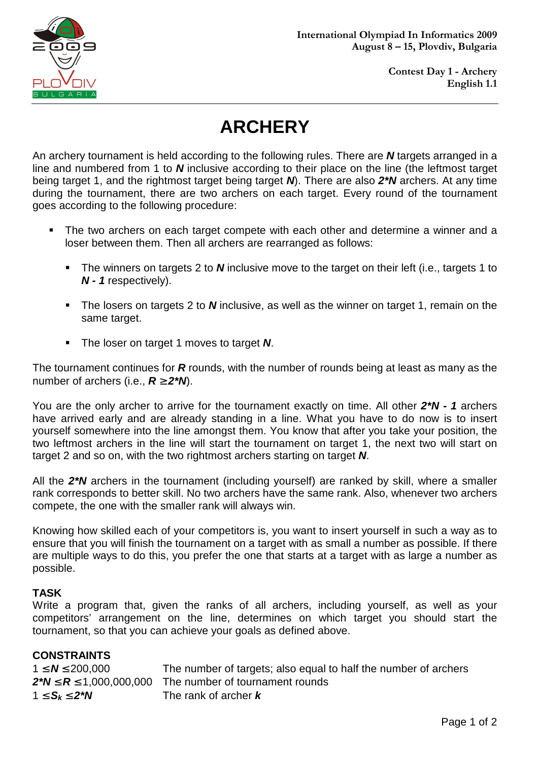

# **ARCHERY**

An archery tournament is held according to the following rules. There are **N** targets arranged in a line and numbered from 1 to **N** inclusive according to their place on the line (the leftmost target being target 1, and the rightmost target being target **N**). There are also **2\*N** archers. At any time during the tournament, there are two archers on each target. Every round of the tournament goes according to the following procedure:

- The two archers on each target compete with each other and determine a winner and a loser between them. Then all archers are rearranged as follows:
	- The winners on targets 2 to **N** inclusive move to the target on their left (i.e., targets 1 to **N - 1** respectively).
	- The losers on targets 2 to **N** inclusive, as well as the winner on target 1, remain on the same target.
	- **The loser on target 1 moves to target N.**

The tournament continues for **R** rounds, with the number of rounds being at least as many as the number of archers (i.e.,  $R \ge 2^kN$ ).

You are the only archer to arrive for the tournament exactly on time. All other **2\*N - 1** archers have arrived early and are already standing in a line. What you have to do now is to insert yourself somewhere into the line amongst them. You know that after you take your position, the two leftmost archers in the line will start the tournament on target 1, the next two will start on target 2 and so on, with the two rightmost archers starting on target **N**.

All the **2\*N** archers in the tournament (including yourself) are ranked by skill, where a smaller rank corresponds to better skill. No two archers have the same rank. Also, whenever two archers compete, the one with the smaller rank will always win.

Knowing how skilled each of your competitors is, you want to insert yourself in such a way as to ensure that you will finish the tournament on a target with as small a number as possible. If there are multiple ways to do this, you prefer the one that starts at a target with as large a number as possible.

## **TASK**

Write a program that, given the ranks of all archers, including yourself, as well as your competitors' arrangement on the line, determines on which target you should start the tournament, so that you can achieve your goals as defined above.

| <b>CONSTRAINTS</b>              |                                                                 |
|---------------------------------|-----------------------------------------------------------------|
| $1 \le N \le 200,000$           | The number of targets; also equal to half the number of archers |
| $2*N \leq R \leq 1,000,000,000$ | The number of tournament rounds                                 |
| 1 $\leq$ $S_k \leq 2 N$         | The rank of archer $\bm{k}$                                     |